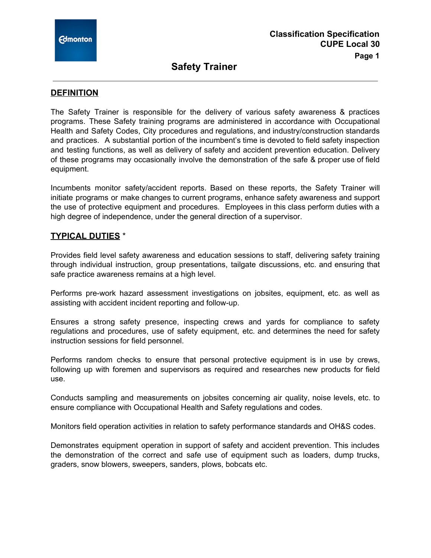

# **Safety Trainer**

### **DEFINITION**

The Safety Trainer is responsible for the delivery of various safety awareness & practices programs. These Safety training programs are administered in accordance with Occupational Health and Safety Codes, City procedures and regulations, and industry/construction standards and practices. A substantial portion of the incumbent's time is devoted to field safety inspection and testing functions, as well as delivery of safety and accident prevention education. Delivery of these programs may occasionally involve the demonstration of the safe & proper use of field equipment.

Incumbents monitor safety/accident reports. Based on these reports, the Safety Trainer will initiate programs or make changes to current programs, enhance safety awareness and support the use of protective equipment and procedures. Employees in this class perform duties with a high degree of independence, under the general direction of a supervisor.

### **TYPICAL DUTIES** \*

Provides field level safety awareness and education sessions to staff, delivering safety training through individual instruction, group presentations, tailgate discussions, etc. and ensuring that safe practice awareness remains at a high level.

Performs pre-work hazard assessment investigations on jobsites, equipment, etc. as well as assisting with accident incident reporting and follow-up.

Ensures a strong safety presence, inspecting crews and yards for compliance to safety regulations and procedures, use of safety equipment, etc. and determines the need for safety instruction sessions for field personnel.

Performs random checks to ensure that personal protective equipment is in use by crews, following up with foremen and supervisors as required and researches new products for field use.

Conducts sampling and measurements on jobsites concerning air quality, noise levels, etc. to ensure compliance with Occupational Health and Safety regulations and codes.

Monitors field operation activities in relation to safety performance standards and OH&S codes.

Demonstrates equipment operation in support of safety and accident prevention. This includes the demonstration of the correct and safe use of equipment such as loaders, dump trucks, graders, snow blowers, sweepers, sanders, plows, bobcats etc.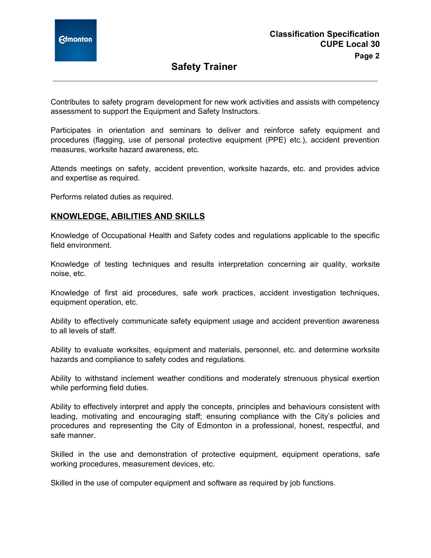

# **Safety Trainer**

Contributes to safety program development for new work activities and assists with competency assessment to support the Equipment and Safety Instructors.

Participates in orientation and seminars to deliver and reinforce safety equipment and procedures (flagging, use of personal protective equipment (PPE) etc.), accident prevention measures, worksite hazard awareness, etc.

Attends meetings on safety, accident prevention, worksite hazards, etc. and provides advice and expertise as required.

Performs related duties as required.

#### **KNOWLEDGE, ABILITIES AND SKILLS**

Knowledge of Occupational Health and Safety codes and regulations applicable to the specific field environment.

Knowledge of testing techniques and results interpretation concerning air quality, worksite noise, etc.

Knowledge of first aid procedures, safe work practices, accident investigation techniques, equipment operation, etc.

Ability to effectively communicate safety equipment usage and accident prevention awareness to all levels of staff.

Ability to evaluate worksites, equipment and materials, personnel, etc. and determine worksite hazards and compliance to safety codes and regulations.

Ability to withstand inclement weather conditions and moderately strenuous physical exertion while performing field duties.

Ability to effectively interpret and apply the concepts, principles and behaviours consistent with leading, motivating and encouraging staff; ensuring compliance with the City's policies and procedures and representing the City of Edmonton in a professional, honest, respectful, and safe manner.

Skilled in the use and demonstration of protective equipment, equipment operations, safe working procedures, measurement devices, etc.

Skilled in the use of computer equipment and software as required by job functions.